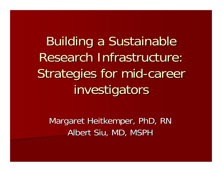**Building a Sustainable** Research Infrastructure: Strategies for mid -career investigators

Margaret Heitkemper, PhD, RN Albert Siu, MD, MSPH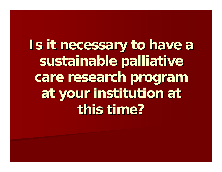**Is it necessary to have a** sustainable palliative care research program **at your institution at at your institution at this time? this time?**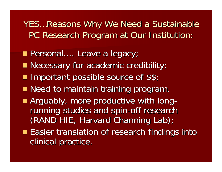YES...Reasons Why We Need a Sustainable PC Research Program at Our Institution:

- Personal.... Leave a legacy; Personal.... Leave a legacy;
- **Necessary for academic credibility;**
- **Important possible source of \$\$;**
- **Need to maintain training program.**
- **Arguably, more productive with long**running studies and spin-off research (RAND HIE, Harvard Channing Lab);
- **Easier translation of research findings into** clinical practice.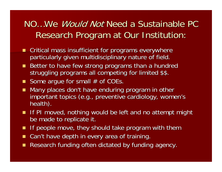## NO…We *Would Not* Need a Sustainable PC Research Program at Our Institution: Research Program at Our Institution:

- **EXPERICAL mass insufficient for programs everywhere** particularly given multidisciplinary nature of field.
- Better to have few strong programs than a hundred struggling programs all competing for limited \$\$.
- Some argue for small  $#$  of COEs.
- Many places don't have enduring program in other  $\blacksquare$ important topics (e.g., preventive cardiology, women's health).
- If PI moved, nothing would be left and no attempt might be made to replicate it.
- П If people move, they should take program with them
- **College** Can't have depth in every area of training.
- **College** Research funding often dictated by funding agency.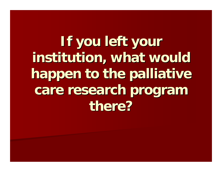**If you left your institution, what would institution, what would happen to the palliative happen to the palliative**  care research program **there?**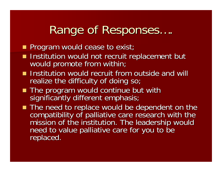## **Range of Responses** ….

- **Program would cease to exist;**
- Institution would not recruit replacement but<br>Institution would promote from within;
- **Institution would recruit from outside and will** realize the difficulty of doing so;
- The program would continue but with significantly different emphasis;
- The need to replace would be dependent on the compatibility of palliative care research with the<br>mission of the institution. The leadership would<br>need to value palliative care for you to be<br>replaced.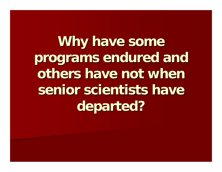**Why have some programs endured and programs endured and**  others have not when senior scientists have **departed? departed?**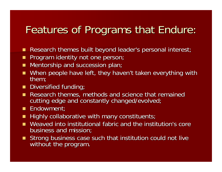## Features of Programs that Endure:

- П Research themes built beyond leader's personal interest;
- П Program identity not one person;
- $\blacksquare$ Mentorship and succession plan;
- П When people have left, they haven't taken everything with them;
- **Diversified funding;**
- Research themes, methods and science that remained cutting edge and constantly changed/evolved;
- Endowment;
- П Highly collaborative with many constituents;
- **College** Weaved into institutional fabric and the institution's core business and mission;
- Strong business case such that institution could not live without the program.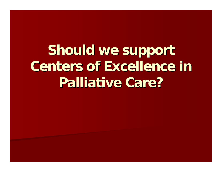Should we support **Centers of Excellence in Centers of Excellence in Palliative Care? Palliative Care?**